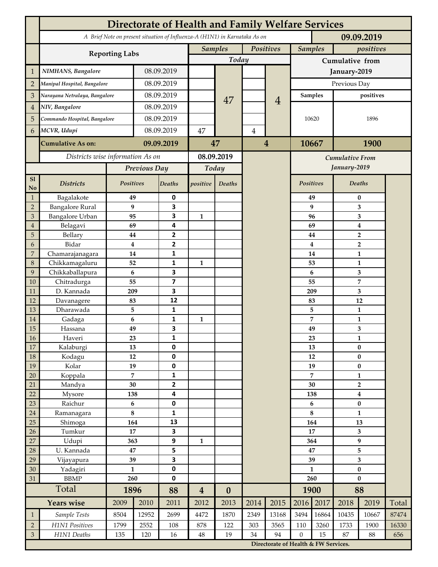|                             | <b>Directorate of Health and Family Welfare Services</b>                                 |                    |             |                         |                             |                  |           |                         |                                                                               |           |                                           |                |       |  |
|-----------------------------|------------------------------------------------------------------------------------------|--------------------|-------------|-------------------------|-----------------------------|------------------|-----------|-------------------------|-------------------------------------------------------------------------------|-----------|-------------------------------------------|----------------|-------|--|
|                             | A Brief Note on present situation of Influenza-A (H1N1) in Karnataka As on<br>09.09.2019 |                    |             |                         |                             |                  |           |                         |                                                                               |           |                                           |                |       |  |
|                             |                                                                                          |                    |             |                         | Positives<br><b>Samples</b> |                  |           | <b>Samples</b>          |                                                                               | positives |                                           |                |       |  |
|                             | <b>Reporting Labs</b>                                                                    |                    |             |                         |                             | Today            |           |                         | Cumulative from                                                               |           |                                           |                |       |  |
| $\mathbf{1}$                | NIMHANS, Bangalore                                                                       |                    |             | 08.09.2019              |                             |                  |           |                         | January-2019                                                                  |           |                                           |                |       |  |
| $\overline{2}$              | Manipal Hospital, Bangalore                                                              |                    | 08.09.2019  |                         |                             |                  |           |                         | Previous Day                                                                  |           |                                           |                |       |  |
| 3                           | Narayana Netralaya, Bangalore                                                            |                    | 08.09.2019  |                         |                             |                  |           |                         | <b>Samples</b>                                                                |           | positives                                 |                |       |  |
| $\overline{4}$              | NIV, Bangalore                                                                           |                    | 08.09.2019  |                         |                             | 47               |           | $\overline{4}$          | 10620                                                                         |           |                                           |                |       |  |
| 5                           | Commando Hospital, Bangalore                                                             |                    | 08.09.2019  |                         |                             |                  |           |                         |                                                                               |           |                                           | 1896           |       |  |
| 6                           | MCVR, Udupi                                                                              |                    | 08.09.2019  |                         | 47                          |                  | 4         |                         |                                                                               |           |                                           |                |       |  |
|                             |                                                                                          |                    |             |                         |                             |                  |           |                         |                                                                               |           |                                           |                |       |  |
|                             | <b>Cumulative As on:</b>                                                                 |                    | 09.09.2019  |                         | 47                          |                  |           | $\overline{\mathbf{4}}$ |                                                                               | 10667     |                                           | 1900           |       |  |
|                             | Districts wise information As on                                                         |                    |             | 08.09.2019              |                             |                  |           | <b>Cumulative From</b>  |                                                                               |           |                                           |                |       |  |
|                             |                                                                                          | Previous Day       |             | Today                   |                             |                  |           |                         |                                                                               |           | January-2019                              |                |       |  |
| S1<br>No                    | <b>Districts</b>                                                                         | Positives          |             | Deaths                  | positive                    | Deaths           |           |                         | Positives                                                                     |           |                                           | Deaths         |       |  |
| $\mathbf{1}$                | Bagalakote                                                                               | 49                 |             | 0                       |                             |                  |           |                         | 49                                                                            | $\bf{0}$  |                                           |                |       |  |
| $\overline{2}$              | <b>Bangalore Rural</b>                                                                   | 9                  |             | 3                       |                             |                  |           |                         | 9                                                                             | 3         |                                           |                |       |  |
| 3                           | <b>Bangalore Urban</b>                                                                   | 95                 |             | 3                       | $\mathbf{1}$                |                  |           |                         |                                                                               | 96        | 3                                         |                |       |  |
| $\overline{4}$<br>5         | Belagavi<br>Bellary                                                                      | 69<br>44           |             | 4<br>$\mathbf{2}$       |                             |                  |           |                         |                                                                               | 69<br>44  | $\boldsymbol{4}$                          |                |       |  |
| 6                           | Bidar                                                                                    | $\bf{4}$           |             | 2                       |                             |                  |           |                         |                                                                               | 4         | $\overline{\mathbf{2}}$<br>$\overline{2}$ |                |       |  |
| $\overline{7}$              | Chamarajanagara                                                                          | 14                 |             | 1                       |                             |                  |           |                         | 14                                                                            |           |                                           | $\mathbf{1}$   |       |  |
| 8                           | Chikkamagaluru                                                                           | 52                 |             | 1                       | 1                           |                  |           |                         |                                                                               | 53        |                                           | 1              |       |  |
| 9                           | Chikkaballapura                                                                          | 6                  |             | 3                       |                             |                  |           |                         |                                                                               | 6         |                                           | 3              |       |  |
| 10                          | Chitradurga                                                                              | 55                 |             | $\overline{\mathbf{z}}$ |                             |                  |           |                         |                                                                               | 55        |                                           | $\overline{7}$ |       |  |
| 11                          | D. Kannada                                                                               | 209                |             | 3                       |                             |                  |           |                         |                                                                               | 209       | 3                                         |                |       |  |
| 12                          | Davanagere                                                                               | 83                 |             | 12                      |                             |                  |           |                         |                                                                               | 83        |                                           | 12             |       |  |
| 13                          | Dharawada                                                                                | 5                  |             | 1                       |                             |                  |           |                         |                                                                               | 5         | 1                                         |                |       |  |
| 14<br>15                    | Gadaga<br>Hassana                                                                        | 6<br>49            |             | 1<br>3                  | $\mathbf{1}$                |                  |           |                         |                                                                               | 7<br>49   | $\mathbf{1}$<br>3                         |                |       |  |
| 16                          | Haveri                                                                                   | 23                 |             | 1                       |                             |                  |           |                         |                                                                               | 23        | 1                                         |                |       |  |
| 17                          | Kalaburgi                                                                                | 13                 |             | 0                       |                             |                  |           |                         |                                                                               | 13        |                                           | $\pmb{0}$      |       |  |
| 18                          | Kodagu                                                                                   | $12\,$             |             | 0                       |                             |                  |           |                         |                                                                               | 12        | $\pmb{0}$                                 |                |       |  |
| 19                          | Kolar                                                                                    | 19                 |             | 0                       |                             |                  |           |                         |                                                                               | 19        |                                           | $\bf{0}$       |       |  |
| 20                          | Koppala                                                                                  | $\overline{7}$     |             | 1                       |                             |                  |           |                         | 7                                                                             |           | $\mathbf{1}$                              |                |       |  |
| 21                          | Mandya                                                                                   | 30                 |             | $\overline{\mathbf{2}}$ |                             |                  |           |                         | 30                                                                            |           |                                           | $\overline{2}$ |       |  |
| 22                          | Mysore                                                                                   | 138                |             | 4                       |                             |                  |           |                         | 138<br>6                                                                      |           | $\boldsymbol{4}$<br>$\pmb{0}$             |                |       |  |
| 23<br>24                    | Raichur<br>Ramanagara                                                                    | $\bf 6$<br>$\bf 8$ |             | 0<br>1                  |                             |                  |           |                         | 8                                                                             |           | $\mathbf{1}$                              |                |       |  |
| 25                          | Shimoga                                                                                  | 164                |             | 13                      |                             |                  |           |                         | 164                                                                           |           | 13                                        |                |       |  |
| 26                          | Tumkur                                                                                   | 17                 |             | 3                       |                             |                  |           |                         | 17                                                                            |           | 3                                         |                |       |  |
| 27                          | Udupi                                                                                    | 363                |             | 9                       | 1                           |                  |           |                         | 364                                                                           |           | $\boldsymbol{9}$                          |                |       |  |
| 28                          | U. Kannada                                                                               | 47                 |             | 5                       |                             |                  |           |                         | 47                                                                            |           | 5                                         |                |       |  |
| 29                          | Vijayapura                                                                               | 39                 |             | 3                       |                             |                  |           |                         | 39                                                                            |           | 3                                         |                |       |  |
| 30                          | Yadagiri                                                                                 | $\mathbf{1}$       |             | 0                       |                             |                  |           |                         | $\mathbf{1}$                                                                  |           | $\pmb{0}$                                 |                |       |  |
| 31                          | <b>BBMP</b>                                                                              | 260                |             | 0                       |                             |                  |           |                         | 260                                                                           |           | $\bf{0}$                                  |                |       |  |
|                             | Total                                                                                    | 1896               |             | 88                      | $\overline{\mathbf{4}}$     | $\boldsymbol{0}$ |           |                         |                                                                               | 1900      | 88                                        |                |       |  |
|                             | <b>Years wise</b>                                                                        | 2009               | 2010        | 2011                    | 2012                        | 2013             | 2014      | 2015                    | 2016                                                                          | 2017      | 2018                                      | 2019           | Total |  |
| $\mathbf{1}$                | Sample Tests                                                                             | 8504               | 12952       | 2699                    | 4472                        | 1870             | 2349      | 13168                   | 3494                                                                          | 16864     | 10435                                     | 10667          | 87474 |  |
| $\sqrt{2}$                  | H1N1 Positives<br>H1N1 Deaths                                                            | 1799<br>135        | 2552<br>120 | 108<br>16               | 878<br>$48\,$               | 122<br>19        | 303<br>34 | 3565<br>94              | 110                                                                           | 3260      | 1733                                      | 1900           | 16330 |  |
| $\ensuremath{\mathfrak{Z}}$ |                                                                                          |                    |             |                         |                             |                  |           |                         | $\mathbf{0}$<br>15<br>87<br>88<br>656<br>Directorate of Health & FW Services. |           |                                           |                |       |  |